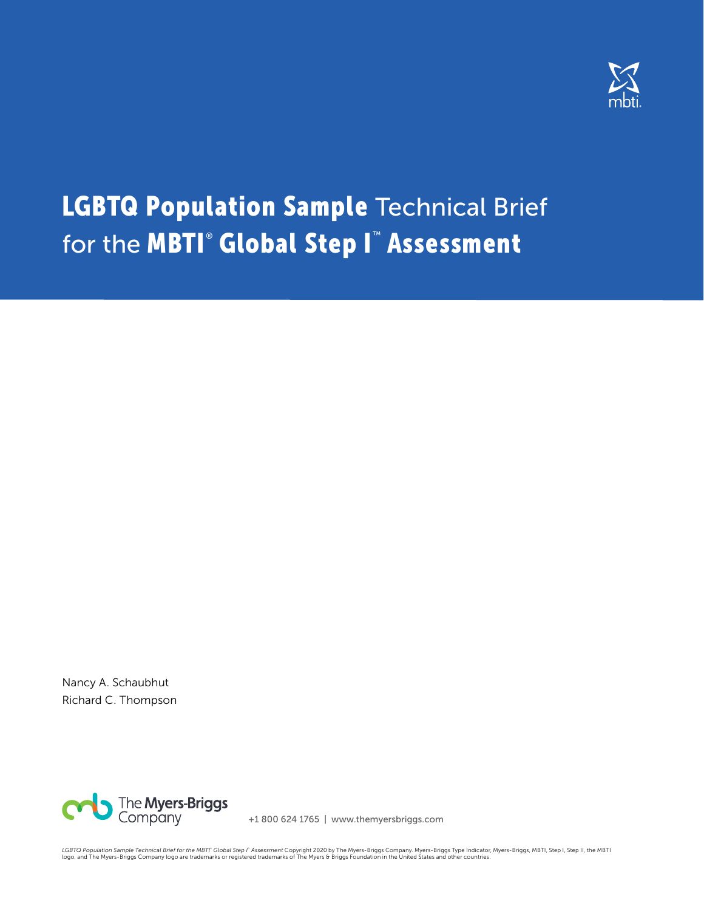

# LGBTQ Population Sample Technical Brief for the **MBTI<sup>®</sup> Global Step I<sup>™</sup> Assessment**

Nancy A. Schaubhut Richard C. Thompson



+1 800 624 1765 | www.themyersbriggs.com

LGBTQ Population Sample Technical Brief for the MBTl" Global Step I" Assessment Copyright 2020 by The Myers-Briggs Company. Myers-Briggs Type Indicator, Myers-Briggs, MBTI, Step I, Step II, the MBTI<br>logo, and The Myers-Bri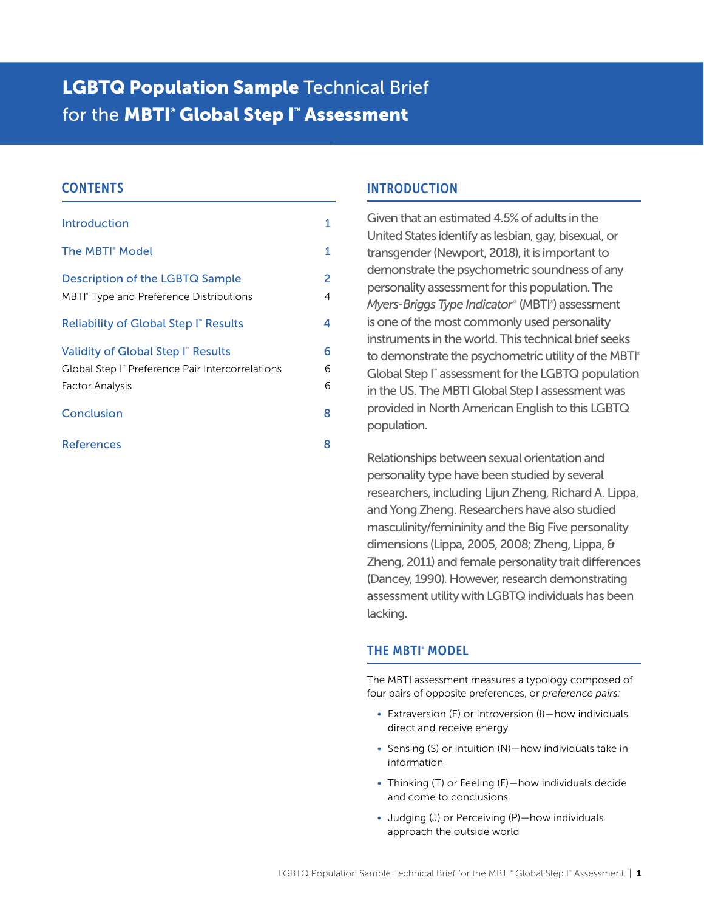## **LGBTQ Population Sample Technical Brief** for the **MBTI<sup>®</sup> Global Step I<sup>™</sup> Assessment**

## **CONTENTS**

| <b>Introduction</b>                                                                                                             | 1           |
|---------------------------------------------------------------------------------------------------------------------------------|-------------|
| The MBTI <sup>®</sup> Model                                                                                                     | 1           |
| Description of the LGBTQ Sample<br>MBTI <sup>®</sup> Type and Preference Distributions                                          | 2<br>4<br>4 |
| Reliability of Global Step I" Results<br>Validity of Global Step I" Results<br>Global Step I" Preference Pair Intercorrelations | 6<br>6      |
| <b>Factor Analysis</b><br>Conclusion                                                                                            | 6<br>8      |
| <b>References</b>                                                                                                               | 8           |

## INTRODUCTION

Given that an estimated 4.5% of adults in the United States identify as lesbian, gay, bisexual, or transgender (Newport, 2018), it is important to demonstrate the psychometric soundness of any personality assessment for this population. The Myers-Briggs Type Indicator<sup>®</sup> (MBTI<sup>®</sup>) assessment is one of the most commonly used personality instruments in the world. This technical brief seeks to demonstrate the psychometric utility of the MBTI® Global Step I™ assessment for the LGBTQ population in the US. The MBTI Global Step I assessment was provided in North American English to this LGBTQ population.

Relationships between sexual orientation and personality type have been studied by several researchers, including Lijun Zheng, Richard A. Lippa, and Yong Zheng. Researchers have also studied masculinity/femininity and the Big Five personality dimensions (Lippa, 2005, 2008; Zheng, Lippa, & Zheng, 2011) and female personality trait differences (Dancey, 1990). However, research demonstrating assessment utility with LGBTQ individuals has been lacking.

## THE MBTI® MODEL

The MBTI assessment measures a typology composed of four pairs of opposite preferences, or *preference pairs:* 

- Extraversion (E) or Introversion (I)—how individuals direct and receive energy
- Sensing (S) or Intuition (N)—how individuals take in information
- Thinking (T) or Feeling (F)—how individuals decide and come to conclusions
- Judging (J) or Perceiving (P)—how individuals approach the outside world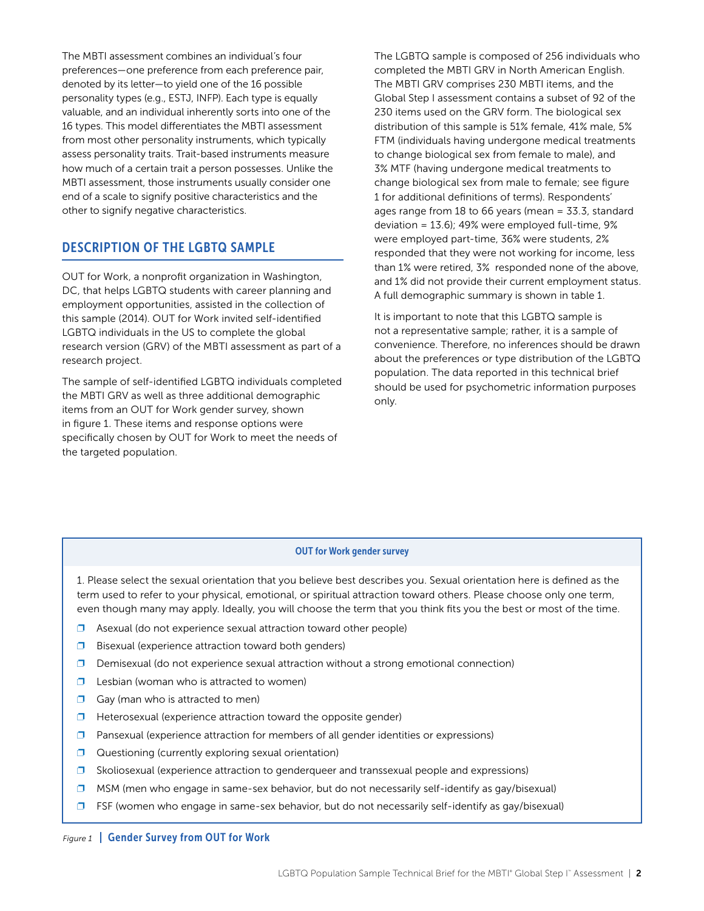<span id="page-2-0"></span>The MBTI assessment combines an individual's four preferences—one preference from each preference pair, denoted by its letter—to yield one of the 16 possible personality types (e.g., ESTJ, INFP). Each type is equally valuable, and an individual inherently sorts into one of the 16 types. This model differentiates the MBTI assessment from most other personality instruments, which typically assess personality traits. Trait-based instruments measure how much of a certain trait a person possesses. Unlike the MBTI assessment, those instruments usually consider one end of a scale to signify positive characteristics and the other to signify negative characteristics.

## DESCRIPTION OF THE LGBTQ SAMPLE

OUT for Work, a nonprofit organization in Washington, DC, that helps LGBTQ students with career planning and employment opportunities, assisted in the collection of this sample (2014). OUT for Work invited self-identified LGBTQ individuals in the US to complete the global research version (GRV) of the MBTI assessment as part of a research project.

The sample of self-identified LGBTQ individuals completed the MBTI GRV as well as three additional demographic items from an OUT for Work gender survey, shown in figure 1. These items and response options were specifically chosen by OUT for Work to meet the needs of the targeted population.

The LGBTQ sample is composed of 256 individuals who completed the MBTI GRV in North American English. The MBTI GRV comprises 230 MBTI items, and the Global Step I assessment contains a subset of 92 of the 230 items used on the GRV form. The biological sex distribution of this sample is 51% female, 41% male, 5% FTM (individuals having undergone medical treatments to change biological sex from female to male), and 3% MTF (having undergone medical treatments to change biological sex from male to female; see figure 1 for additional definitions of terms). Respondents' ages range from 18 to 66 years (mean = 33.3, standard deviation = 13.6); 49% were employed full-time, 9% were employed part-time, 36% were students, 2% responded that they were not working for income, less than 1% were retired, 3% responded none of the above, and 1% did not provide their current employment status. A full demographic summary is shown in table 1.

It is important to note that this LGBTQ sample is not a representative sample; rather, it is a sample of convenience. Therefore, no inferences should be drawn about the preferences or type distribution of the LGBTQ population. The data reported in this technical brief should be used for psychometric information purposes only.

#### OUT for Work gender survey

1. Please select the sexual orientation that you believe best describes you. Sexual orientation here is defined as the term used to refer to your physical, emotional, or spiritual attraction toward others. Please choose only one term, even though many may apply. Ideally, you will choose the term that you think fits you the best or most of the time.

- $\square$  Asexual (do not experience sexual attraction toward other people)
- $\square$  Bisexual (experience attraction toward both genders)
- ❐ Demisexual (do not experience sexual attraction without a strong emotional connection)
- $\Box$  Lesbian (woman who is attracted to women)
- $\Box$  Gay (man who is attracted to men)
- ❐ Heterosexual (experience attraction toward the opposite gender)
- $\square$  Pansexual (experience attraction for members of all gender identities or expressions)
- **□** Questioning (currently exploring sexual orientation)
- ❐ Skoliosexual (experience attraction to genderqueer and transsexual people and expressions)
- $\square$  MSM (men who engage in same-sex behavior, but do not necessarily self-identify as gay/bisexual)
- $\square$  FSF (women who engage in same-sex behavior, but do not necessarily self-identify as gay/bisexual)

#### *Figure 1* | Gender Survey from OUT for Work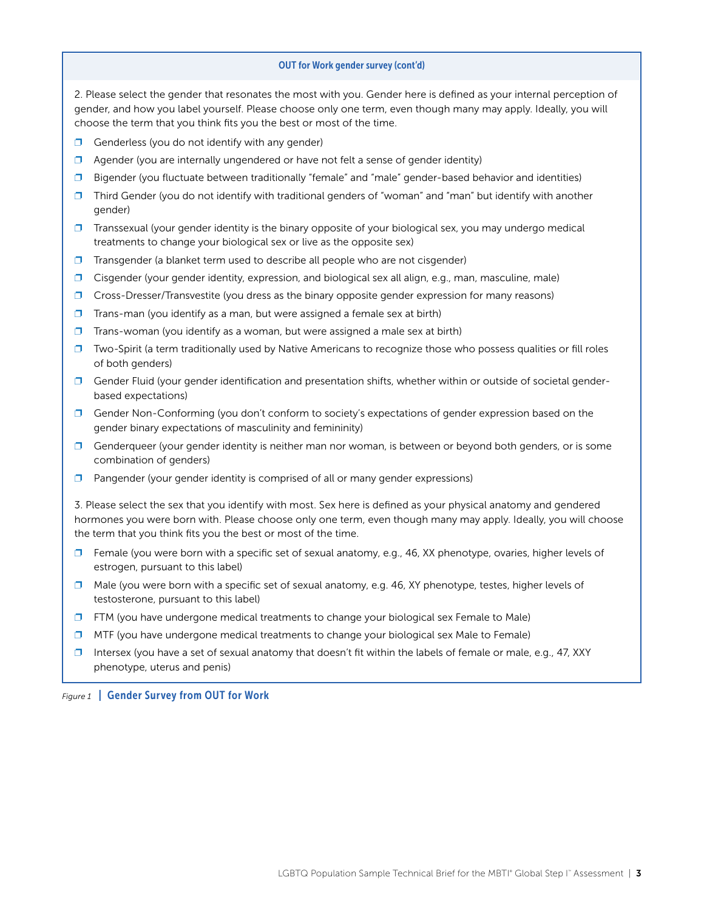#### OUT for Work gender survey (cont'd)

2. Please select the gender that resonates the most with you. Gender here is defined as your internal perception of gender, and how you label yourself. Please choose only one term, even though many may apply. Ideally, you will choose the term that you think fits you the best or most of the time.

- $\Box$  Genderless (you do not identify with any gender)
- $\Box$  Agender (you are internally ungendered or have not felt a sense of gender identity)
- ❐ Bigender (you fluctuate between traditionally "female" and "male" gender-based behavior and identities)
- ❐ Third Gender (you do not identify with traditional genders of "woman" and "man" but identify with another gender)
- $\square$  Transsexual (your gender identity is the binary opposite of your biological sex, you may undergo medical treatments to change your biological sex or live as the opposite sex)
- $\square$  Transgender (a blanket term used to describe all people who are not cisgender)
- $\square$  Cisgender (your gender identity, expression, and biological sex all align, e.g., man, masculine, male)
- □ Cross-Dresser/Transvestite (you dress as the binary opposite gender expression for many reasons)
- $\square$  Trans-man (you identify as a man, but were assigned a female sex at birth)
- $\square$  Trans-woman (you identify as a woman, but were assigned a male sex at birth)
- $\square$  Two-Spirit (a term traditionally used by Native Americans to recognize those who possess qualities or fill roles of both genders)
- $\square$  Gender Fluid (your gender identification and presentation shifts, whether within or outside of societal genderbased expectations)
- $\square$  Gender Non-Conforming (you don't conform to society's expectations of gender expression based on the gender binary expectations of masculinity and femininity)
- $\Box$  Genderqueer (your gender identity is neither man nor woman, is between or beyond both genders, or is some combination of genders)
- $\square$  Pangender (your gender identity is comprised of all or many gender expressions)

3. Please select the sex that you identify with most. Sex here is defined as your physical anatomy and gendered hormones you were born with. Please choose only one term, even though many may apply. Ideally, you will choose the term that you think fits you the best or most of the time.

- $\square$  Female (you were born with a specific set of sexual anatomy, e.g., 46, XX phenotype, ovaries, higher levels of estrogen, pursuant to this label)
- ❐ Male (you were born with a specific set of sexual anatomy, e.g. 46, XY phenotype, testes, higher levels of testosterone, pursuant to this label)
- ❐ FTM (you have undergone medical treatments to change your biological sex Female to Male)
- $\square$  MTF (you have undergone medical treatments to change your biological sex Male to Female)
- $\square$  Intersex (you have a set of sexual anatomy that doesn't fit within the labels of female or male, e.g., 47, XXY phenotype, uterus and penis)

*Figure 1* | Gender Survey from OUT for Work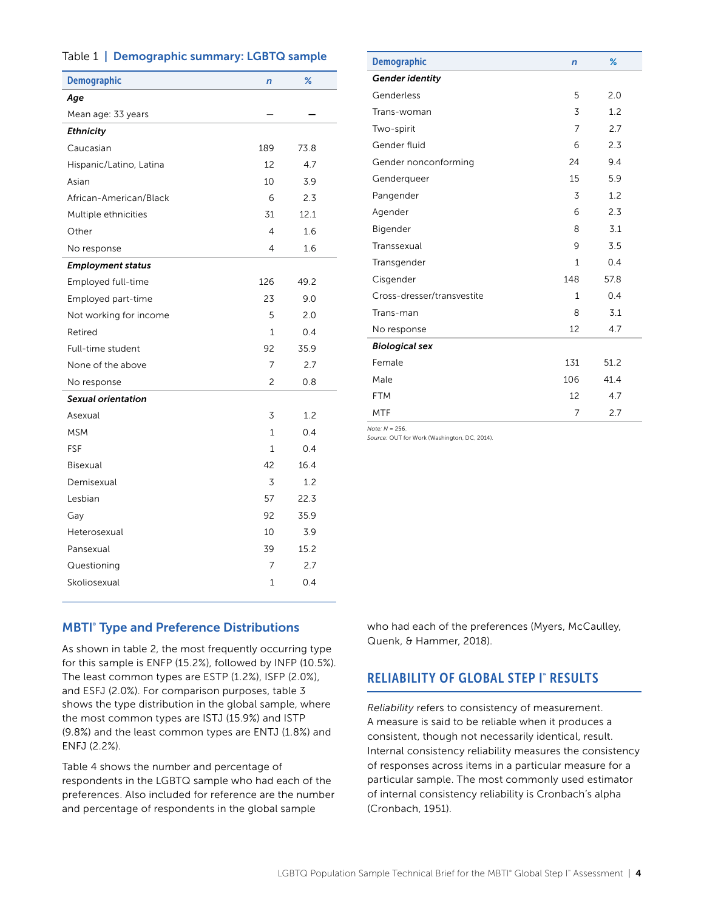#### <span id="page-4-0"></span>Table 1 | Demographic summary: LGBTQ sample

| <b>Demographic</b>       | $\overline{r}$ | $\%$ |
|--------------------------|----------------|------|
| Age                      |                |      |
| Mean age: 33 years       |                |      |
| <b>Ethnicity</b>         |                |      |
| Caucasian                | 189            | 73.8 |
| Hispanic/Latino, Latina  | 12             | 4.7  |
| Asian                    | 10             | 3.9  |
| African-American/Black   | 6              | 2.3  |
| Multiple ethnicities     | 31             | 12.1 |
| Other                    | 4              | 1.6  |
| No response              | 4              | 1.6  |
| <b>Employment status</b> |                |      |
| Employed full-time       | 126            | 49.2 |
| Employed part-time       | 23             | 9.0  |
| Not working for income   | 5              | 2.0  |
| Retired                  | $\mathbf{1}$   | 0.4  |
| Full-time student        | 92             | 35.9 |
| None of the above        | 7              | 2.7  |
| No response              | $\overline{c}$ | 0.8  |
| Sexual orientation       |                |      |
| Asexual                  | 3              | 1.2  |
| <b>MSM</b>               | $\mathbf{1}$   | 0.4  |
| FSF                      | 1              | 0.4  |
| <b>Bisexual</b>          | 42             | 16.4 |
| Demisexual               | 3              | 1.2  |
| Lesbian                  | 57             | 22.3 |
| Gay                      | 92             | 35.9 |
| Heterosexual             | 10             | 3.9  |
| Pansexual                | 39             | 15.2 |
| Questioning              | 7              | 2.7  |
| Skoliosexual             | 1              | 0.4  |
|                          |                |      |

| <b>Demographic</b>         | $\overline{r}$ | %    |
|----------------------------|----------------|------|
| <b>Gender identity</b>     |                |      |
| Genderless                 | 5              | 2.0  |
| Trans-woman                | 3              | 1.2  |
| Two-spirit                 | 7              | 2.7  |
| Gender fluid               | 6              | 2.3  |
| Gender nonconforming       | 24             | 9.4  |
| Genderqueer                | 15             | 5.9  |
| Pangender                  | 3              | 1.2  |
| Agender                    | 6              | 2.3  |
| Bigender                   | 8              | 3.1  |
| Transsexual                | 9              | 3.5  |
| Transgender                | 1              | 0.4  |
| Cisgender                  | 148            | 57.8 |
| Cross-dresser/transvestite | 1              | 0.4  |
| Trans-man                  | 8              | 3.1  |
| No response                | 12             | 4.7  |
| <b>Biological sex</b>      |                |      |
| Female                     | 131            | 51.2 |
| Male                       | 106            | 41.4 |
| <b>FTM</b>                 | 12             | 4.7  |
| MTF                        | 7              | 2.7  |

*Note: N* = 256.

*Source:* OUT for Work (Washington, DC, 2014).

#### **MBTI<sup>®</sup> Type and Preference Distributions**

As shown in table 2, the most frequently occurring type for this sample is ENFP (15.2%), followed by INFP (10.5%). The least common types are ESTP (1.2%), ISFP (2.0%), and ESFJ (2.0%). For comparison purposes, table 3 shows the type distribution in the global sample, where the most common types are ISTJ (15.9%) and ISTP (9.8%) and the least common types are ENTJ (1.8%) and ENFJ (2.2%).

Table 4 shows the number and percentage of respondents in the LGBTQ sample who had each of the preferences. Also included for reference are the number and percentage of respondents in the global sample

who had each of the preferences (Myers, McCaulley, Quenk, & Hammer, 2018).

#### RELIABILITY OF GLOBAL STEP I" RESULTS

*Reliability* refers to consistency of measurement. A measure is said to be reliable when it produces a consistent, though not necessarily identical, result. Internal consistency reliability measures the consistency of responses across items in a particular measure for a particular sample. The most commonly used estimator of internal consistency reliability is Cronbach's alpha (Cronbach, 1951).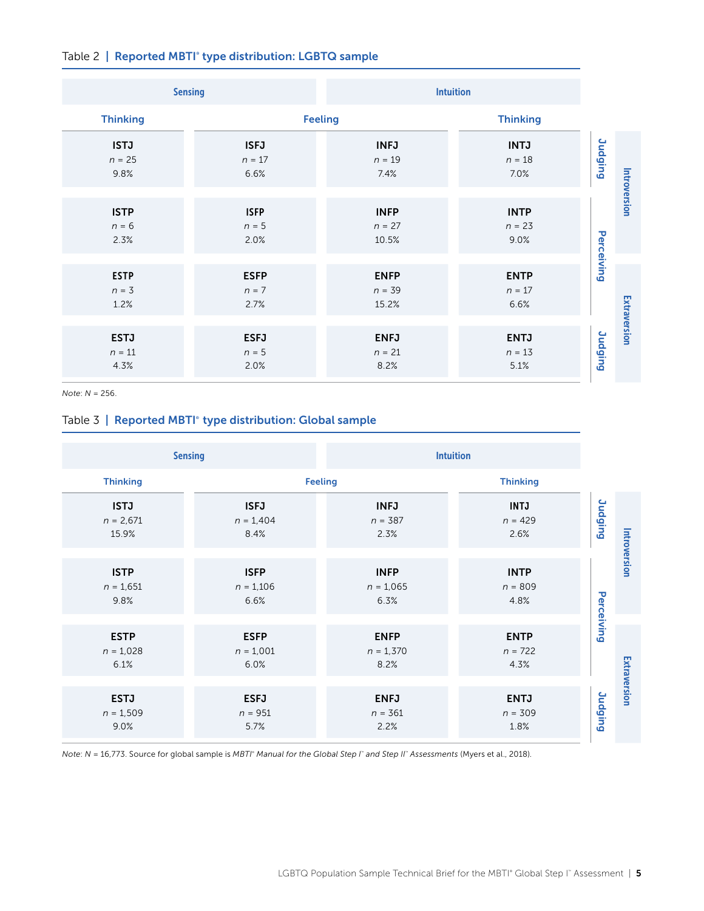|  |  |  | Table 2   Reported MBTI <sup>®</sup> type distribution: LGBTQ sample |  |  |
|--|--|--|----------------------------------------------------------------------|--|--|
|--|--|--|----------------------------------------------------------------------|--|--|

| <b>Sensing</b>                  |                                 | <b>Intuition</b>                 |                                 |                |              |
|---------------------------------|---------------------------------|----------------------------------|---------------------------------|----------------|--------------|
| <b>Thinking</b>                 |                                 | <b>Feeling</b>                   | <b>Thinking</b>                 |                |              |
| <b>ISTJ</b><br>$n = 25$<br>9.8% | <b>ISFJ</b><br>$n = 17$<br>6.6% | <b>INFJ</b><br>$n = 19$<br>7.4%  | <b>INTJ</b><br>$n = 18$<br>7.0% | <b>Judging</b> |              |
| <b>ISTP</b><br>$n = 6$<br>2.3%  | <b>ISFP</b><br>$n = 5$<br>2.0%  | <b>INFP</b><br>$n = 27$<br>10.5% | <b>INTP</b><br>$n = 23$<br>9.0% | Perceiving     | Introversion |
| <b>ESTP</b><br>$n = 3$<br>1.2%  | <b>ESFP</b><br>$n = 7$<br>2.7%  | <b>ENFP</b><br>$n = 39$<br>15.2% | <b>ENTP</b><br>$n = 17$<br>6.6% |                |              |
| <b>ESTJ</b><br>$n = 11$<br>4.3% | <b>ESFJ</b><br>$n = 5$<br>2.0%  | <b>ENFJ</b><br>$n = 21$<br>8.2%  | <b>ENTJ</b><br>$n = 13$<br>5.1% | <b>Judging</b> | Extraversion |

*Note*: *N* = 256.

## Table 3 | Reported MBTI® type distribution: Global sample

| <b>Sensing</b>                      |                                    |                                    | <b>Intuition</b>                 |                |              |
|-------------------------------------|------------------------------------|------------------------------------|----------------------------------|----------------|--------------|
| <b>Thinking</b>                     |                                    | <b>Feeling</b>                     | <b>Thinking</b>                  |                |              |
| <b>ISTJ</b><br>$n = 2,671$<br>15.9% | <b>ISFJ</b><br>$n = 1,404$<br>8.4% | <b>INFJ</b><br>$n = 387$<br>2.3%   | <b>INTJ</b><br>$n = 429$<br>2.6% | <b>Judging</b> |              |
| <b>ISTP</b><br>$n = 1,651$<br>9.8%  | <b>ISFP</b><br>$n = 1,106$<br>6.6% | <b>INFP</b><br>$n = 1,065$<br>6.3% | <b>INTP</b><br>$n = 809$<br>4.8% | Perceiving     | Introversion |
| <b>ESTP</b><br>$n = 1,028$<br>6.1%  | <b>ESFP</b><br>$n = 1,001$<br>6.0% | <b>ENFP</b><br>$n = 1,370$<br>8.2% | <b>ENTP</b><br>$n = 722$<br>4.3% |                |              |
| <b>ESTJ</b><br>$n = 1,509$<br>9.0%  | <b>ESFJ</b><br>$n = 951$<br>5.7%   | <b>ENFJ</b><br>$n = 361$<br>2.2%   | <b>ENTJ</b><br>$n = 309$<br>1.8% | <b>Judging</b> | Extraversion |

*Note*: *N* = 16,773. Source for global sample is *MBTI*®  *Manual for the Global Step I*™  *and Step II*™  *Assessments* (Myers et al., 2018).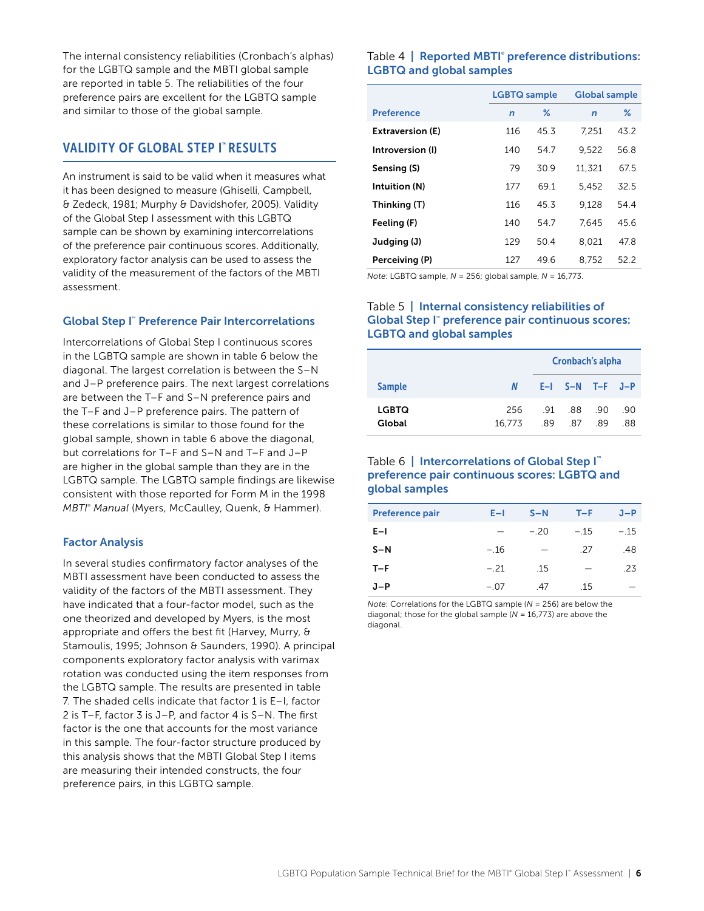<span id="page-6-0"></span>The internal consistency reliabilities (Cronbach's alphas) for the LGBTQ sample and the MBTI global sample are reported in table 5. The reliabilities of the four preference pairs are excellent for the LGBTQ sample and similar to those of the global sample.

#### VALIDITY OF GLOBAL STEP I™ RESULTS

An instrument is said to be valid when it measures what it has been designed to measure (Ghiselli, Campbell, & Zedeck, 1981; Murphy & Davidshofer, 2005). Validity of the Global Step I assessment with this LGBTQ sample can be shown by examining intercorrelations of the preference pair continuous scores. Additionally, exploratory factor analysis can be used to assess the validity of the measurement of the factors of the MBTI assessment.

#### Global Step I™ Preference Pair Intercorrelations

Intercorrelations of Global Step I continuous scores in the LGBTQ sample are shown in table 6 below the diagonal. The largest correlation is between the S–N and J–P preference pairs. The next largest correlations are between the T–F and S–N preference pairs and the T–F and J–P preference pairs. The pattern of these correlations is similar to those found for the global sample, shown in table 6 above the diagonal, but correlations for T–F and S–N and T–F and J–P are higher in the global sample than they are in the LGBTQ sample. The LGBTQ sample findings are likewise consistent with those reported for Form M in the 1998 *MBTI® Manual* (Myers, McCaulley, Quenk, & Hammer).

#### Factor Analysis

In several studies confirmatory factor analyses of the MBTI assessment have been conducted to assess the validity of the factors of the MBTI assessment. They have indicated that a four-factor model, such as the one theorized and developed by Myers, is the most appropriate and offers the best fit (Harvey, Murry, & Stamoulis, 1995; Johnson & Saunders, 1990). A principal components exploratory factor analysis with varimax rotation was conducted using the item responses from the LGBTQ sample. The results are presented in table 7. The shaded cells indicate that factor 1 is E–I, factor 2 is T–F, factor 3 is J–P, and factor 4 is S–N. The first factor is the one that accounts for the most variance in this sample. The four-factor structure produced by this analysis shows that the MBTI Global Step I items are measuring their intended constructs, the four preference pairs, in this LGBTQ sample.

#### Table 4 | Reported MBTI<sup>®</sup> preference distributions: LGBTQ and global samples

|                         | <b>LGBTQ</b> sample |               | <b>Global sample</b> |      |  |
|-------------------------|---------------------|---------------|----------------------|------|--|
| <b>Preference</b>       | $\mathsf{n}$        | $\frac{9}{6}$ | $\mathsf{n}$         | $\%$ |  |
| <b>Extraversion (E)</b> | 116                 | 45.3          | 7.251                | 43.2 |  |
| Introversion (I)        | 140                 | 54.7          | 9.522                | 56.8 |  |
| Sensing (S)             | 79                  | 30.9          | 11,321               | 67.5 |  |
| Intuition (N)           | 177                 | 691           | 5.452                | 32.5 |  |
| Thinking (T)            | 116                 | 45.3          | 9.128                | 54.4 |  |
| Feeling (F)             | 140                 | 54.7          | 7.645                | 45.6 |  |
| Judging (J)             | 129                 | 50.4          | 8.021                | 47.8 |  |
| Perceiving (P)          | 127                 | 496           | 8.752                | 52.2 |  |

*Note*: LGBTQ sample, *N* = 256; global sample, *N* = 16,773.

#### Table 5 | Internal consistency reliabilities of Global Step I™ preference pair continuous scores: LGBTQ and global samples

|                        |               | Cronbach's alpha |                         |     |            |  |
|------------------------|---------------|------------------|-------------------------|-----|------------|--|
| <b>Sample</b>          | N             |                  | $E-I$ $S-N$ $T-F$ $J-P$ |     |            |  |
| <b>LGBTQ</b><br>Global | 256<br>16.773 | .89              | 91 88 90<br>.87         | .89 | .90<br>.88 |  |

#### Table 6 | Intercorrelations of Global Step I<sup>™</sup> preference pair continuous scores: LGBTQ and global samples

| <b>Preference pair</b> | $E-1$  | $S-N$ | $T-F$                    | $J-P$  |
|------------------------|--------|-------|--------------------------|--------|
| $E-I$                  |        | $-20$ | $-.15$                   | $-.15$ |
| $S-N$                  | $-.16$ |       | -27                      | .48    |
| $T-F$                  | $-.21$ | .15   | $\overline{\phantom{0}}$ | .23    |
| $J-P$                  | $-.07$ | .47   | .15                      |        |

*Note*: Correlations for the LGBTQ sample (*N* = 256) are below the diagonal; those for the global sample (*N* = 16,773) are above the diagonal.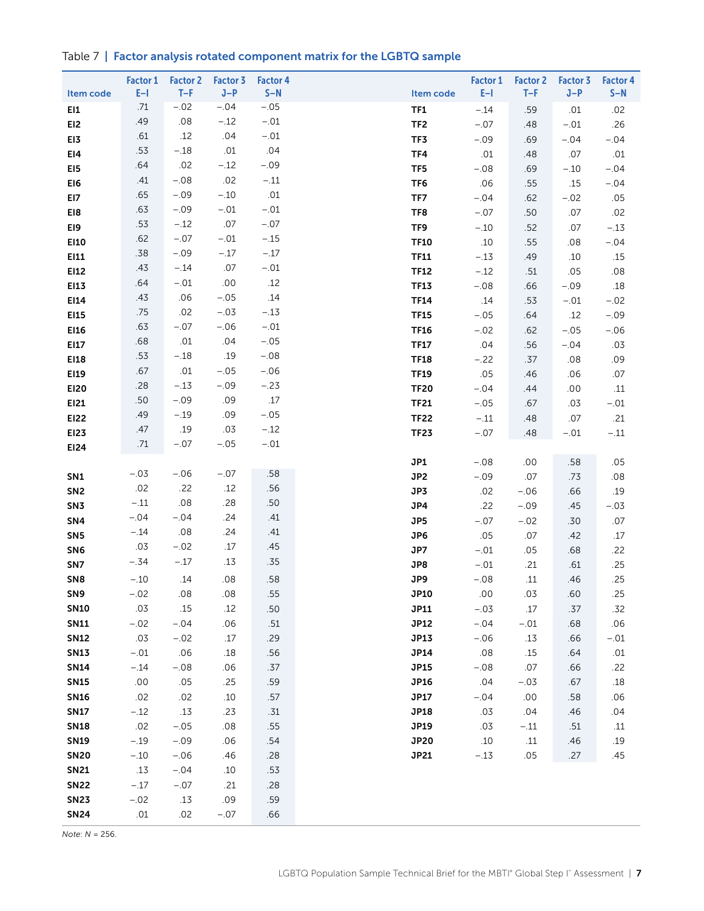## Table 7 | Factor analysis rotated component matrix for the LGBTQ sample

| Item code       | <b>Factor 1</b><br>$E-1$ | <b>Factor 2</b><br>$T-F$ | <b>Factor 3</b><br>$J-P$ | <b>Factor 4</b><br>$S-N$ | Item code       | <b>Factor 1</b><br>$E-1$ | <b>Factor 2</b><br>$T-F$ | Factor 3<br>$J-P$ | <b>Factor 4</b><br>$S-N$ |
|-----------------|--------------------------|--------------------------|--------------------------|--------------------------|-----------------|--------------------------|--------------------------|-------------------|--------------------------|
| E11             | .71                      | $-.02$                   | $-.04$                   | $-.05$                   | <b>TF1</b>      | $-.14$                   | .59                      | .01               | .02                      |
| EI2             | .49                      | .08                      | $-.12$                   | $-.01$                   | TF <sub>2</sub> | $-.07$                   | .48                      | $-.01$            | .26                      |
| EI3             | .61                      | .12                      | .04                      | $-.01$                   | TF3             | $-.09$                   | .69                      | $-.04$            | $-.04$                   |
| EI4             | .53                      | $-.18$                   | .01                      | .04                      | TF4             | .01                      | .48                      | .07               | .01                      |
| EI5             | .64                      | .02                      | $-.12$                   | $-.09$                   | TF5             | $-.08$                   | .69                      | $-.10$            | $-.04$                   |
| EI6             | .41                      | $-.08$                   | .02                      | $-.11$                   | TF <sub>6</sub> | .06                      | .55                      | .15               | $-.04$                   |
| EI7             | .65                      | $-.09$                   | $-.10$                   | .01                      | TF7             | $-.04$                   | .62                      | $-.02$            | .05                      |
| EI8             | .63                      | $-.09$                   | $-.01$                   | $-.01$                   | TF8             | $-.07$                   | .50                      | .07               | .02                      |
| EI9             | .53                      | $-.12$                   | .07                      | $-.07$                   | TF9             | $-.10$                   | .52                      | .07               | $-.13$                   |
| E110            | .62                      | $-.07$                   | $-.01$                   | $-.15$                   | <b>TF10</b>     | .10                      | .55                      | .08               | $-.04$                   |
| EI11            | .38                      | $-.09$                   | $-.17$                   | $-.17$                   | <b>TF11</b>     | $-.13$                   | .49                      | .10               | .15                      |
| EI12            | .43                      | $-.14$                   | .07                      | $-.01$                   | <b>TF12</b>     | $-.12$                   | .51                      | .05               | .08                      |
| E113            | .64                      | $-.01$                   | .00                      | .12                      | <b>TF13</b>     | $-.08$                   | .66                      | $-.09$            | $.18$                    |
| EI14            | .43                      | .06                      | $-.05$                   | .14                      | <b>TF14</b>     | .14                      | .53                      | $-.01$            | $-.02$                   |
| E115            | .75                      | .02                      | $-.03$                   | $-.13$                   | <b>TF15</b>     | $-.05$                   | .64                      | .12               | $-.09$                   |
| E116            | .63                      | $-.07$                   | $-.06$                   | $-.01$                   | <b>TF16</b>     | $-.02$                   | .62                      | $-.05$            | $-.06$                   |
| EI17            | .68                      | .01                      | .04                      | $-.05$                   | <b>TF17</b>     | .04                      | .56                      | $-.04$            | .03                      |
| E118            | .53                      | $-.18$                   | .19                      | $-.08$                   | <b>TF18</b>     | $-.22$                   | .37                      | .08               | .09                      |
| EI19            | .67                      | .01                      | $-.05$                   | $-.06$                   | <b>TF19</b>     | .05                      | .46                      | .06               | .07                      |
| <b>EI20</b>     | .28                      | $-.13$                   | $-.09$                   | $-.23$                   | <b>TF20</b>     | $-.04$                   | .44                      | .00               | .11                      |
| EI21            | .50                      | $-.09$                   | .09                      | .17                      | <b>TF21</b>     | $-.05$                   | .67                      | .03               | $-.01$                   |
| EI22            | .49                      | $-.19$                   | .09                      | $-.05$                   | <b>TF22</b>     | $-.11$                   | .48                      | .07               | .21                      |
| EI23            | .47                      | .19                      | .03                      | $-.12$                   | <b>TF23</b>     | $-.07$                   | .48                      | $-.01$            | $-.11$                   |
| EI24            | .71                      | $-.07$                   | $-.05$                   | $-.01$                   |                 |                          |                          |                   |                          |
|                 |                          |                          |                          |                          | JP1             | $-.08$                   | .00                      | .58               | .05                      |
| SN <sub>1</sub> | $-.03$                   | $-.06$                   | $-.07$                   | .58                      | JP2             | $-.09$                   | .07                      | .73               | .08                      |
| SN <sub>2</sub> | .02                      | .22                      | .12                      | .56                      | JP3             | .02                      | $-.06$                   | .66               | .19                      |
| SN <sub>3</sub> | $-.11$                   | .08                      | .28                      | .50                      | JP4             | .22                      | $-.09$                   | .45               | $-.03$                   |
| SN4             | $-.04$                   | $-.04$                   | .24                      | .41                      | JP5             | $-.07$                   | $-.02$                   | .30               | .07                      |
| SN <sub>5</sub> | $-.14$                   | .08                      | .24                      | .41                      | JP6             | .05                      | .07                      | .42               | .17                      |
| SN <sub>6</sub> | .03                      | $-.02$                   | .17                      | .45                      | JP7             | $-.01$                   | .05                      | .68               | .22                      |
| SN7             | $-.34$                   | $-.17$                   | .13                      | .35                      | JP8             | $-.01$                   | .21                      | .61               | .25                      |
| SN <sub>8</sub> | $-.10$                   | .14                      | .08                      | .58                      | JP9             | $-.08$                   | .11                      | .46               | .25                      |
| SN <sub>9</sub> | $-.02$                   | $.08$                    | .08                      | .55                      | <b>JP10</b>     | .00                      | .03                      | .60               | .25                      |
| <b>SN10</b>     | .03                      | .15                      | .12                      | .50                      | JP11            | $-.03$                   | .17                      | .37               | .32                      |
| <b>SN11</b>     | $-.02$                   | $-.04$                   | .06                      | .51                      | <b>JP12</b>     | $-.04$                   | $-.01$                   | .68               | .06                      |
| <b>SN12</b>     | .03                      | $-.02$                   | .17                      | .29                      | <b>JP13</b>     | $-.06$                   | .13                      | .66               | $-.01$                   |
| <b>SN13</b>     | $-.01$                   | .06                      | .18                      | .56                      | JP14            | .08                      | .15                      | .64               | $.01$                    |
| <b>SN14</b>     | $-.14$                   | $-.08$                   | .06                      | .37                      | <b>JP15</b>     | $-.08$                   | .07                      | .66               | .22                      |
| <b>SN15</b>     | $.00$                    | .05                      | .25                      | .59                      | <b>JP16</b>     | .04                      | $-.03$                   | .67               | .18                      |
| <b>SN16</b>     | .02                      | .02                      | $.10$                    | .57                      | <b>JP17</b>     | $-.04$                   | .00                      | .58               | .06                      |
| <b>SN17</b>     | $-.12$                   | .13                      | .23                      | .31                      | <b>JP18</b>     | .03                      | .04                      | .46               | .04                      |
| <b>SN18</b>     | .02                      | $-.05$                   | .08                      | .55                      | JP19            | .03                      | $-.11$                   | .51               | $.11$                    |
| <b>SN19</b>     | $-.19$                   | $-.09$                   | .06                      | .54                      | <b>JP20</b>     | .10                      | .11                      | .46               | .19                      |
| <b>SN20</b>     | $-.10$                   | $-.06$                   | .46                      | .28                      | <b>JP21</b>     | $-.13$                   | .05                      | .27               | .45                      |
| <b>SN21</b>     | .13                      | $-.04$                   | .10                      | .53                      |                 |                          |                          |                   |                          |
| <b>SN22</b>     | $-.17$                   | $-.07$                   | .21                      | .28                      |                 |                          |                          |                   |                          |
| <b>SN23</b>     | $-.02$                   | .13                      | .09                      | .59                      |                 |                          |                          |                   |                          |
| <b>SN24</b>     | .01                      | .02                      | $-.07$                   | .66                      |                 |                          |                          |                   |                          |

*Note*: *N* = 256.